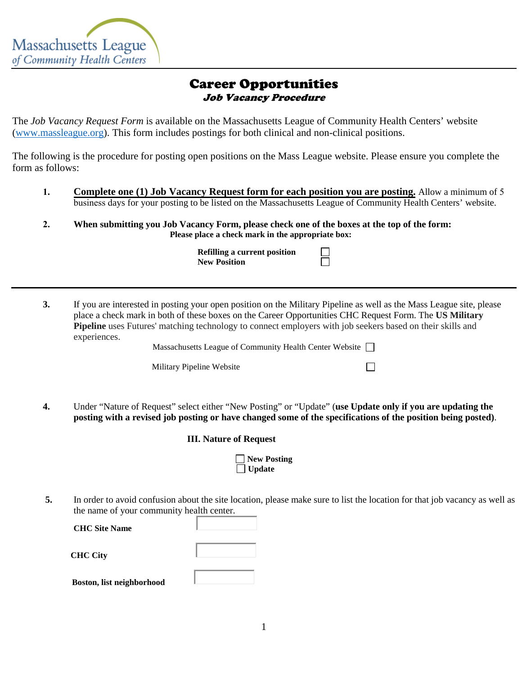

## Career Opportunities Job Vacancy Procedure

The *Job Vacancy Request Form* is available on the Massachusetts League of Community Health Centers' website [\(www.massleague.org\)](http://www.massleague.org/). This form includes postings for both clinical and non-clinical positions.

The following is the procedure for posting open positions on the Mass League website. Please ensure you complete the form as follows:

- **1. Complete one (1) Job Vacancy Request form for each position you are posting.** Allow a minimum of 5 business days for your posting to be listed on the Massachusetts League of Community Health Centers' website.
- **2. When submitting you Job Vacancy Form, please check one of the boxes at the top of the form: Please place a check mark in the appropriate box:**

**Refilling a current position New Position**

**3.** If you are interested in posting your open position on the Military Pipeline as well as the Mass League site, please place a check mark in both of these boxes on the Career Opportunities CHC Request Form. The **US Military Pipeline** uses Futures' matching technology to connect employers with job seekers based on their skills and experiences.

П

Massachusetts League of Community Health Center Website  $\Box$ 

Military Pipeline Website

**4.** Under "Nature of Request" select either "New Posting" or "Update" (**use Update only if you are updating the posting with a revised job posting or have changed some of the specifications of the position being posted)**.

| New Posting   |
|---------------|
| $\Box$ Update |

**5.** In order to avoid confusion about the site location, please make sure to list the location for that job vacancy as well as the name of your community health center.

**CHC Site Name CHC City Boston, list neighborhood**